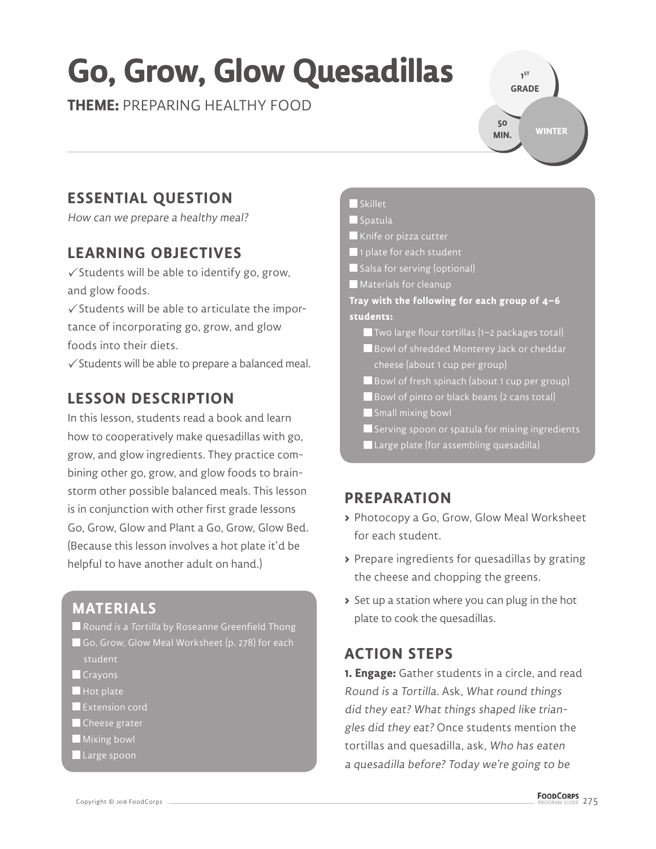# **Go, Grow, Glow Quesadillas**

**THEME:** PREPARING HEALTHY FOOD

**GRADE WINTER 50 MIN.**

**1 ST** 

## **ESSENTIAL QUESTION**

How can we prepare a healthy meal?

## **LEARNING OBJECTIVES**

 $\checkmark$  Students will be able to identify go, grow, and glow foods.

 $\checkmark$  Students will be able to articulate the importance of incorporating go, grow, and glow foods into their diets.

 $\checkmark$  Students will be able to prepare a balanced meal.

## **LESSON DESCRIPTION**

In this lesson, students read a book and learn how to cooperatively make quesadillas with go, grow, and glow ingredients. They practice combining other go, grow, and glow foods to brainstorm other possible balanced meals. This lesson is in conjunction with other first grade lessons Go, Grow, Glow and Plant a Go, Grow, Glow Bed. (Because this lesson involves a hot plate it'd be helpful to have another adult on hand.)

## **MATERIALS**

- Round is a Tortilla by Roseanne Greenfield Thong Go, Grow, Glow Meal Worksheet (p. 278) for each student
- **Crayons**
- $\blacksquare$  Hot plate
- **Extension cord**
- Cheese grater
- **Mixing bowl**
- Large spoon

#### Skillet

#### $\blacksquare$ Spatula

Knife or pizza cutter

- 1 plate for each student
- Salsa for serving (optional)
- **Materials for cleanup**

**Tray with the following for each group of 4–6 students:**

- $\blacksquare$  Two large flour tortillas (1–2 packages total) Bowl of shredded Monterey Jack or cheddar
- cheese (about 1 cup per group)
- Bowl of fresh spinach (about 1 cup per group)
- Bowl of pinto or black beans (2 cans total)
- Small mixing bowl
- $\blacksquare$  Serving spoon or spatula for mixing ingredients
- Large plate (for assembling quesadilla)

## **PREPARATION**

- **>** Photocopy a Go, Grow, Glow Meal Worksheet for each student.
- **>** Prepare ingredients for quesadillas by grating the cheese and chopping the greens.
- **>** Set up a station where you can plug in the hot plate to cook the quesadillas.

## **ACTION STEPS**

**1. Engage:** Gather students in a circle, and read Round is a Tortilla. Ask, What round things did they eat? What things shaped like triangles did they eat? Once students mention the tortillas and quesadilla, ask, Who has eaten a quesadilla before? Today we're going to be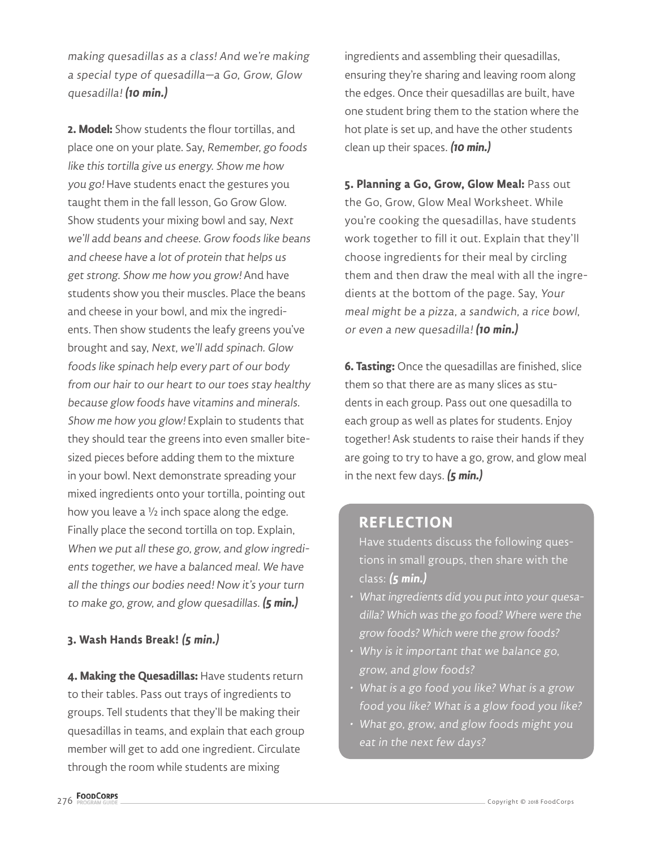making quesadillas as a class! And we're making a special type of quesadilla—a Go, Grow, Glow quesadilla! **(10 min.)**

**2. Model:** Show students the flour tortillas, and place one on your plate. Say, Remember, go foods like this tortilla give us energy. Show me how you go! Have students enact the gestures you taught them in the fall lesson, Go Grow Glow. Show students your mixing bowl and say, Next we'll add beans and cheese. Grow foods like beans and cheese have a lot of protein that helps us get strong. Show me how you grow! And have students show you their muscles. Place the beans and cheese in your bowl, and mix the ingredients. Then show students the leafy greens you've brought and say, Next, we'll add spinach. Glow foods like spinach help every part of our body from our hair to our heart to our toes stay healthy because glow foods have vitamins and minerals. Show me how you glow! Explain to students that they should tear the greens into even smaller bitesized pieces before adding them to the mixture in your bowl. Next demonstrate spreading your mixed ingredients onto your tortilla, pointing out how you leave a ½ inch space along the edge. Finally place the second tortilla on top. Explain, When we put all these go, grow, and glow ingredients together, we have a balanced meal. We have all the things our bodies need! Now it's your turn to make go, grow, and glow quesadillas. **(5 min.)**

#### **3. Wash Hands Break! (5 min.)**

**4. Making the Quesadillas:** Have students return to their tables. Pass out trays of ingredients to groups. Tell students that they'll be making their quesadillas in teams, and explain that each group member will get to add one ingredient. Circulate through the room while students are mixing

ingredients and assembling their quesadillas, ensuring they're sharing and leaving room along the edges. Once their quesadillas are built, have one student bring them to the station where the hot plate is set up, and have the other students clean up their spaces. **(10 min.)**

**5. Planning a Go, Grow, Glow Meal:** Pass out the Go, Grow, Glow Meal Worksheet. While you're cooking the quesadillas, have students work together to fill it out. Explain that they'll choose ingredients for their meal by circling them and then draw the meal with all the ingredients at the bottom of the page. Say, Your meal might be a pizza, a sandwich, a rice bowl, or even a new quesadilla! **(10 min.)**

**6. Tasting:** Once the quesadillas are finished, slice them so that there are as many slices as students in each group. Pass out one quesadilla to each group as well as plates for students. Enjoy together! Ask students to raise their hands if they are going to try to have a go, grow, and glow meal in the next few days. **(5 min.)**

### **REFLECTION**

Have students discuss the following questions in small groups, then share with the class: **(5 min.)**

- What ingredients did you put into your quesadilla? Which was the go food? Where were the grow foods? Which were the grow foods?
- Why is it important that we balance go, grow, and glow foods?
- What is a go food you like? What is a grow food you like? What is a glow food you like?
- What go, grow, and glow foods might you eat in the next few days?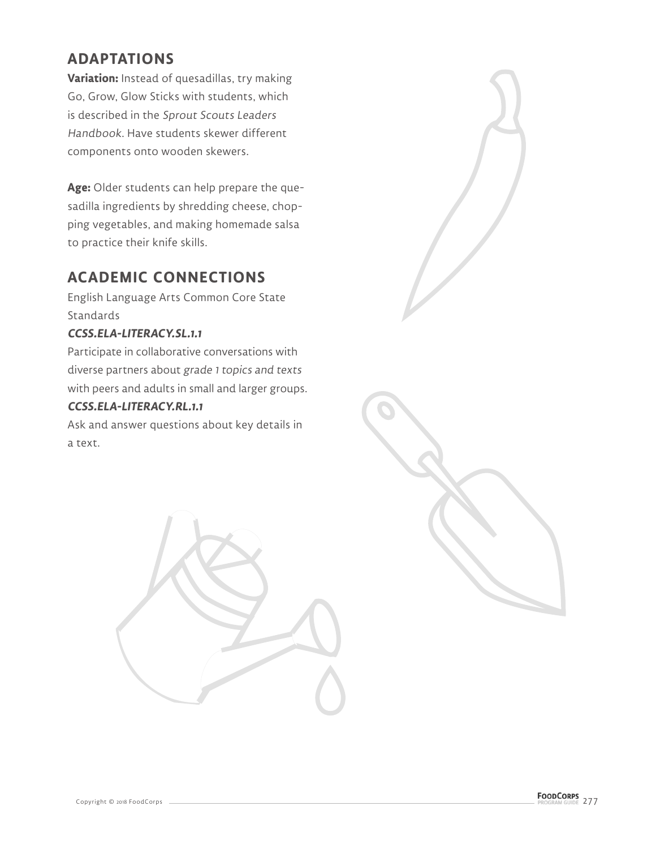## **ADAPTATIONS**

**Variation:** Instead of quesadillas, try making Go, Grow, Glow Sticks with students, which is described in the Sprout Scouts Leaders Handbook. Have students skewer different components onto wooden skewers.

**Age:** Older students can help prepare the quesadilla ingredients by shredding cheese, chopping vegetables, and making homemade salsa to practice their knife skills.

## **ACADEMIC CONNECTIONS**

English Language Arts Common Core State **Standards** 

#### **CCSS.ELA-LITERACY.SL.1.1**

Participate in collaborative conversations with diverse partners about grade 1 topics and texts with peers and adults in small and larger groups.

#### **CCSS.ELA-LITERACY.RL.1.1**

Ask and answer questions about key details in a text.